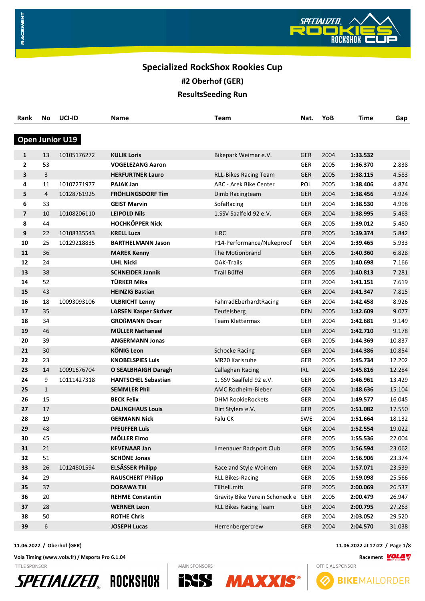

# **Specialized RockShox Rookies Cup**

**#2 Oberhof (GER)**

**ResultsSeeding Run**

| Rank           | <b>No</b>      | UCI-ID                 | Name                         | <b>Team</b>                        | Nat.       | YoB  | <b>Time</b> | Gap    |
|----------------|----------------|------------------------|------------------------------|------------------------------------|------------|------|-------------|--------|
|                |                |                        |                              |                                    |            |      |             |        |
|                |                | <b>Open Junior U19</b> |                              |                                    |            |      |             |        |
| $\mathbf{1}$   | 13             | 10105176272            | <b>KULIK Loris</b>           | Bikepark Weimar e.V.               | <b>GER</b> | 2004 | 1:33.532    |        |
| $\overline{2}$ | 53             |                        | <b>VOGELEZANG Aaron</b>      |                                    | <b>GER</b> | 2005 | 1:36.370    | 2.838  |
| 3              | 3              |                        | <b>HERFURTNER Lauro</b>      | <b>RLL-Bikes Racing Team</b>       | <b>GER</b> | 2005 | 1:38.115    | 4.583  |
| 4              | 11             | 10107271977            | <b>PAJAK Jan</b>             | ABC - Arek Bike Center             | POL        | 2005 | 1:38.406    | 4.874  |
| 5              | $\overline{4}$ | 10128761925            | FRÖHLINGSDORF Tim            | Dimb Racingteam                    | <b>GER</b> | 2004 | 1:38.456    | 4.924  |
| 6              | 33             |                        | <b>GEIST Marvin</b>          | SofaRacing                         | <b>GER</b> | 2004 | 1:38.530    | 4.998  |
| $\overline{7}$ | 10             | 10108206110            | <b>LEIPOLD Nils</b>          | 1.SSV Saalfeld 92 e.V.             | <b>GER</b> | 2004 | 1:38.995    | 5.463  |
| 8              | 44             |                        | <b>HOCHKÖPPER Nick</b>       |                                    | <b>GER</b> | 2005 | 1:39.012    | 5.480  |
| 9              | 22             | 10108335543            | <b>KRELL Luca</b>            | <b>ILRC</b>                        | <b>GER</b> | 2005 | 1:39.374    | 5.842  |
| 10             | 25             | 10129218835            | <b>BARTHELMANN Jason</b>     | P14-Performance/Nukeproof          | <b>GER</b> | 2004 | 1:39.465    | 5.933  |
| 11             | 36             |                        | <b>MAREK Kenny</b>           | The Motionbrand                    | <b>GER</b> | 2005 | 1:40.360    | 6.828  |
| 12             | 24             |                        | <b>UHL Nicki</b>             | <b>OAK-Trails</b>                  | <b>GER</b> | 2005 | 1:40.698    | 7.166  |
| 13             | 38             |                        | <b>SCHNEIDER Jannik</b>      | Trail Büffel                       | <b>GER</b> | 2005 | 1:40.813    | 7.281  |
| 14             | 52             |                        | TÜRKER Mika                  |                                    | <b>GER</b> | 2004 | 1:41.151    | 7.619  |
| 15             | 43             |                        | <b>HEINZIG Bastian</b>       |                                    | <b>GER</b> | 2004 | 1:41.347    | 7.815  |
| 16             | 18             | 10093093106            | <b>ULBRICHT Lenny</b>        | FahrradEberhardtRacing             | GER        | 2004 | 1:42.458    | 8.926  |
| 17             | 35             |                        | <b>LARSEN Kasper Skriver</b> | Teufelsberg                        | <b>DEN</b> | 2005 | 1:42.609    | 9.077  |
| 18             | 34             |                        | <b>GROßMANN Oscar</b>        | <b>Team Klettermax</b>             | <b>GER</b> | 2004 | 1:42.681    | 9.149  |
| 19             | 46             |                        | <b>MÜLLER Nathanael</b>      |                                    | <b>GER</b> | 2004 | 1:42.710    | 9.178  |
| 20             | 39             |                        | <b>ANGERMANN Jonas</b>       |                                    | <b>GER</b> | 2005 | 1:44.369    | 10.837 |
| 21             | 30             |                        | <b>KÖNIG Leon</b>            | <b>Schocke Racing</b>              | <b>GER</b> | 2004 | 1:44.386    | 10.854 |
| 22             | 23             |                        | <b>KNOBELSPIES Luis</b>      | MR20 Karlsruhe                     | <b>GER</b> | 2005 | 1:45.734    | 12.202 |
| 23             | 14             | 10091676704            | <b>O SEALBHAIGH Daragh</b>   | Callaghan Racing                   | IRL        | 2004 | 1:45.816    | 12.284 |
| 24             | 9              | 10111427318            | <b>HANTSCHEL Sebastian</b>   | 1. SSV Saalfeld 92 e.V.            | <b>GER</b> | 2005 | 1:46.961    | 13.429 |
| 25             | $\mathbf{1}$   |                        | <b>SEMMLER Phil</b>          | AMC Rodheim-Bieber                 | <b>GER</b> | 2004 | 1:48.636    | 15.104 |
| 26             | 15             |                        | <b>BECK Felix</b>            | <b>DHM RookieRockets</b>           | <b>GER</b> | 2004 | 1:49.577    | 16.045 |
| 27             | 17             |                        | <b>DALINGHAUS Louis</b>      | Dirt Stylers e.V.                  | <b>GER</b> | 2005 | 1:51.082    | 17.550 |
| 28             | 19             |                        | <b>GERMANN Nick</b>          | Falu CK                            | <b>SWE</b> | 2004 | 1:51.664    | 18.132 |
| 29             | 48             |                        | <b>PFEUFFER Luis</b>         |                                    | <b>GER</b> | 2004 | 1:52.554    | 19.022 |
| 30             | 45             |                        | MÖLLER Elmo                  |                                    | <b>GER</b> | 2005 | 1:55.536    | 22.004 |
| 31             | 21             |                        | <b>KEVENAAR Jan</b>          | Ilmenauer Radsport Club            | <b>GER</b> | 2005 | 1:56.594    | 23.062 |
| 32             | 51             |                        | <b>SCHÖNE Jonas</b>          |                                    | GER        | 2004 | 1:56.906    | 23.374 |
| 33             | 26             | 10124801594            | <b>ELSÄSSER Philipp</b>      | Race and Style Woinem              | <b>GER</b> | 2004 | 1:57.071    | 23.539 |
| 34             | 29             |                        | <b>RAUSCHERT Philipp</b>     | <b>RLL Bikes-Racing</b>            | <b>GER</b> | 2005 | 1:59.098    | 25.566 |
| 35             | 37             |                        | <b>DORAWA Till</b>           | Tilltell.mtb                       | GER        | 2005 | 2:00.069    | 26.537 |
| 36             | 20             |                        | <b>REHME Constantin</b>      | Gravity Bike Verein Schöneck e GER |            | 2005 | 2:00.479    | 26.947 |
| 37             | 28             |                        | <b>WERNER Leon</b>           | <b>RLL Bikes Racing Team</b>       | <b>GER</b> | 2004 | 2:00.795    | 27.263 |
| 38             | 50             |                        | <b>ROTHE Chris</b>           |                                    | <b>GER</b> | 2004 | 2:03.052    | 29.520 |
| 39             | 6              |                        | <b>JOSEPH Lucas</b>          | Herrenbergercrew                   | <b>GER</b> | 2004 | 2:04.570    | 31.038 |

**Vola Timing (www.vola.fr) / Msports Pro 6.1.04 Racement**  $\frac{VOLAV}{N}$ TITLE SPONSOR







**MAXX** 

**11.06.2022 / Oberhof (GER) 11.06.2022 at 17:22 / Page 1/8**

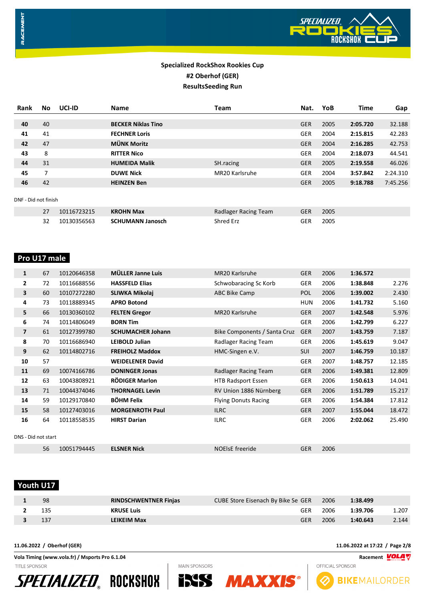

| <b>Rank</b>          | No. | UCI-ID      | <b>Name</b>               | <b>Team</b>          | Nat.       | YoB  | <b>Time</b> | Gap      |
|----------------------|-----|-------------|---------------------------|----------------------|------------|------|-------------|----------|
|                      |     |             |                           |                      |            |      |             |          |
| 40                   | 40  |             | <b>BECKER Niklas Tino</b> |                      | <b>GER</b> | 2005 | 2:05.720    | 32.188   |
| 41                   | 41  |             | <b>FECHNER Loris</b>      |                      | <b>GER</b> | 2004 | 2:15.815    | 42.283   |
| 42                   | 47  |             | <b>MÜNK Moritz</b>        |                      | <b>GER</b> | 2004 | 2:16.285    | 42.753   |
| 43                   | 8   |             | <b>RITTER Nico</b>        |                      | <b>GER</b> | 2004 | 2:18.073    | 44.541   |
| 44                   | 31  |             | <b>HUMEIDA Malik</b>      | SH.racing            | <b>GER</b> | 2005 | 2:19.558    | 46.026   |
| 45                   | 7   |             | <b>DUWE Nick</b>          | MR20 Karlsruhe       | <b>GER</b> | 2004 | 3:57.842    | 2:24.310 |
| 46                   | 42  |             | <b>HEINZEN Ben</b>        |                      | <b>GER</b> | 2005 | 9:18.788    | 7:45.256 |
|                      |     |             |                           |                      |            |      |             |          |
| DNF - Did not finish |     |             |                           |                      |            |      |             |          |
|                      | 27  | 10116723215 | <b>KROHN Max</b>          | Radlager Racing Team | <b>GER</b> | 2005 |             |          |
|                      | 32  | 10130356563 | <b>SCHUMANN Janosch</b>   | Shred Erz            | <b>GER</b> | 2005 |             |          |

# **Pro U17 male**

| $\mathbf{1}$        | 67 | 10120646358 | <b>MÜLLER Janne Luis</b> | MR20 Karlsruhe               | <b>GER</b> | 2006 | 1:36.572 |        |
|---------------------|----|-------------|--------------------------|------------------------------|------------|------|----------|--------|
| 2                   | 72 | 10116688556 | <b>HASSFELD Elias</b>    | Schwobaracing Sc Korb        | <b>GER</b> | 2006 | 1:38.848 | 2.276  |
| 3                   | 60 | 10107272280 | SLIWKA Mikolaj           | ABC Bike Camp                | <b>POL</b> | 2006 | 1:39.002 | 2.430  |
| 4                   | 73 | 10118889345 | <b>APRO Botond</b>       |                              | <b>HUN</b> | 2006 | 1:41.732 | 5.160  |
| 5                   | 66 | 10130360102 | <b>FELTEN Gregor</b>     | MR20 Karlsruhe               | <b>GER</b> | 2007 | 1:42.548 | 5.976  |
| 6                   | 74 | 10114806049 | <b>BORN Tim</b>          |                              | <b>GER</b> | 2006 | 1:42.799 | 6.227  |
| $\overline{7}$      | 61 | 10127399780 | <b>SCHUMACHER Johann</b> | Bike Components / Santa Cruz | <b>GER</b> | 2007 | 1:43.759 | 7.187  |
| 8                   | 70 | 10116686940 | <b>LEIBOLD Julian</b>    | Radlager Racing Team         | <b>GER</b> | 2006 | 1:45.619 | 9.047  |
| 9                   | 62 | 10114802716 | <b>FREIHOLZ Maddox</b>   | HMC-Singen e.V.              | <b>SUI</b> | 2007 | 1:46.759 | 10.187 |
| 10                  | 57 |             | <b>WEIDELENER David</b>  |                              | <b>GER</b> | 2007 | 1:48.757 | 12.185 |
| 11                  | 69 | 10074166786 | <b>DONINGER Jonas</b>    | Radlager Racing Team         | <b>GER</b> | 2006 | 1:49.381 | 12.809 |
| 12                  | 63 | 10043808921 | <b>RÖDIGER Marlon</b>    | <b>HTB Radsport Essen</b>    | <b>GER</b> | 2006 | 1:50.613 | 14.041 |
| 13                  | 71 | 10044374046 | <b>THORNAGEL Levin</b>   | RV Union 1886 Nürnberg       | <b>GER</b> | 2006 | 1:51.789 | 15.217 |
| 14                  | 59 | 10129170840 | <b>BÖHM Felix</b>        | <b>Flying Donuts Racing</b>  | <b>GER</b> | 2006 | 1:54.384 | 17.812 |
| 15                  | 58 | 10127403016 | <b>MORGENROTH Paul</b>   | <b>ILRC</b>                  | <b>GER</b> | 2007 | 1:55.044 | 18.472 |
| 16                  | 64 | 10118558535 | <b>HIRST Darian</b>      | <b>ILRC</b>                  | <b>GER</b> | 2006 | 2:02.062 | 25.490 |
| DNS - Did not start |    |             |                          |                              |            |      |          |        |

 **Youth U17** 

| 98  | <b>RINDSCHWENTNER Finjas</b> | CUBE Store Eisenach By Bike Se GER 2006 |      | 1:38.499 |       |
|-----|------------------------------|-----------------------------------------|------|----------|-------|
| 135 | <b>KRUSE Luis</b>            | GER                                     | 2006 | 1:39.706 | 1.207 |
| 137 | LEIKEIM Max                  | GER                                     | 2006 | 1:40.643 | 2.144 |

**INS MAXXIS** 

**MAIN SPONSORS** 

10051794445 **ELSNER Nick** NOElsE freeride GER 2006

**Vola Timing (www.vola.fr) / Msports Pro 6.1.04 Racement VOLAT** TITLE SPONSOR



**11.06.2022 / Oberhof (GER) 11.06.2022 at 17:22 / Page 2/8**

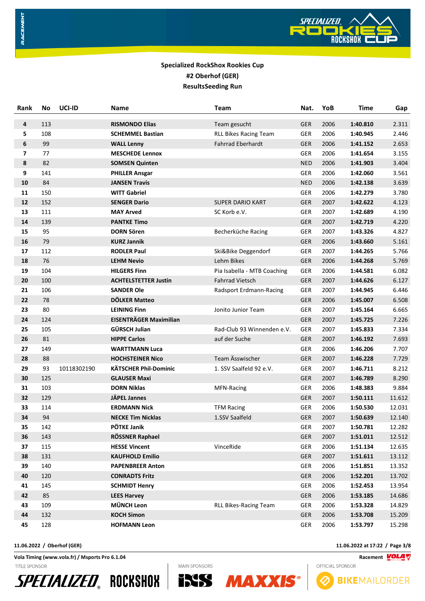

| Rank           | No  | UCI-ID      | Name                          | <b>Team</b>                  | Nat.       | YoB  | Time     | Gap    |
|----------------|-----|-------------|-------------------------------|------------------------------|------------|------|----------|--------|
| 4              | 113 |             | <b>RISMONDO Elias</b>         | Team gesucht                 | <b>GER</b> | 2006 | 1:40.810 | 2.311  |
| 5              | 108 |             | <b>SCHEMMEL Bastian</b>       | RLL Bikes Racing Team        | <b>GER</b> | 2006 | 1:40.945 | 2.446  |
| 6              | 99  |             | <b>WALL Lenny</b>             | <b>Fahrrad Eberhardt</b>     | <b>GER</b> | 2006 | 1:41.152 | 2.653  |
| $\overline{7}$ | 77  |             | <b>MESCHEDE Lennox</b>        |                              | <b>GER</b> | 2006 | 1:41.654 | 3.155  |
| 8              | 82  |             | <b>SOMSEN Quinten</b>         |                              | <b>NED</b> | 2006 | 1:41.903 | 3.404  |
| 9              | 141 |             | <b>PHILLER Ansgar</b>         |                              | <b>GER</b> | 2006 | 1:42.060 | 3.561  |
| 10             | 84  |             | <b>JANSEN Travis</b>          |                              | <b>NED</b> | 2006 | 1:42.138 | 3.639  |
| 11             | 150 |             | <b>WITT Gabriel</b>           |                              | <b>GER</b> | 2006 | 1:42.279 | 3.780  |
| 12             | 152 |             | <b>SENGER Dario</b>           | <b>SUPER DARIO KART</b>      | <b>GER</b> | 2007 | 1:42.622 | 4.123  |
| 13             | 111 |             | <b>MAY Arved</b>              | SC Korb e.V.                 | <b>GER</b> | 2007 | 1:42.689 | 4.190  |
| 14             | 139 |             | <b>PANTKE Timo</b>            |                              | <b>GER</b> | 2007 | 1:42.719 | 4.220  |
| 15             | 95  |             | <b>DORN Sören</b>             | Becherküche Racing           | <b>GER</b> | 2007 | 1:43.326 | 4.827  |
| 16             | 79  |             | <b>KURZ Jannik</b>            |                              | <b>GER</b> | 2006 | 1:43.660 | 5.161  |
| 17             | 112 |             | <b>RODLER Paul</b>            | Ski&Bike Deggendorf          | <b>GER</b> | 2007 | 1:44.265 | 5.766  |
| 18             | 76  |             | <b>LEHM Nevio</b>             | Lehm Bikes                   | <b>GER</b> | 2006 | 1:44.268 | 5.769  |
| 19             | 104 |             | <b>HILGERS Finn</b>           | Pia Isabella - MTB Coaching  | <b>GER</b> | 2006 | 1:44.581 | 6.082  |
| 20             | 100 |             | <b>ACHTELSTETTER Justin</b>   | <b>Fahrrad Vietsch</b>       | <b>GER</b> | 2007 | 1:44.626 | 6.127  |
| 21             | 106 |             | <b>SANDER Ole</b>             | Radsport Erdmann-Racing      | <b>GER</b> | 2007 | 1:44.945 | 6.446  |
| 22             | 78  |             | <b>DÖLKER Matteo</b>          |                              | <b>GER</b> | 2006 | 1:45.007 | 6.508  |
| 23             | 80  |             | <b>LEINING Finn</b>           | Jonito Junior Team           | GER        | 2007 | 1:45.164 | 6.665  |
| 24             | 124 |             | <b>EISENTRÄGER Maximilian</b> |                              | <b>GER</b> | 2007 | 1:45.725 | 7.226  |
| 25             | 105 |             | GÜRSCH Julian                 | Rad-Club 93 Winnenden e.V.   | <b>GER</b> | 2007 | 1:45.833 | 7.334  |
| 26             | 81  |             | <b>HIPPE Carlos</b>           | auf der Suche                | <b>GER</b> | 2007 | 1:46.192 | 7.693  |
| 27             | 149 |             | <b>WARTTMANN Luca</b>         |                              | GER        | 2006 | 1:46.206 | 7.707  |
| 28             | 88  |             | <b>HOCHSTEINER Nico</b>       | Team Ässwischer              | <b>GER</b> | 2007 | 1:46.228 | 7.729  |
| 29             | 93  | 10118302190 | <b>KÄTSCHER Phil-Dominic</b>  | 1. SSV Saalfeld 92 e.V.      | <b>GER</b> | 2007 | 1:46.711 | 8.212  |
| 30             | 125 |             | <b>GLAUSER Maxi</b>           |                              | <b>GER</b> | 2007 | 1:46.789 | 8.290  |
| 31             | 103 |             | <b>DORN Niklas</b>            | MFN-Racing                   | GER        | 2006 | 1:48.383 | 9.884  |
| 32             | 129 |             | JÄPEL Jannes                  |                              | <b>GER</b> | 2007 | 1:50.111 | 11.612 |
| 33             | 114 |             | <b>ERDMANN Nick</b>           | <b>TFM Racing</b>            | GER        | 2006 | 1:50.530 | 12.031 |
| 34             | 94  |             | <b>NECKE Tim Nicklas</b>      | 1.SSV Saalfeld               | <b>GER</b> | 2007 | 1:50.639 | 12.140 |
| 35             | 142 |             | PÖTKE Janik                   |                              | GER        | 2007 | 1:50.781 | 12.282 |
| 36             | 143 |             | RÖSSNER Raphael               |                              | <b>GER</b> | 2007 | 1:51.011 | 12.512 |
| 37             | 115 |             | <b>HESSE Vincent</b>          | VinceRide                    | GER        | 2006 | 1:51.134 | 12.635 |
| 38             | 131 |             | <b>KAUFHOLD Emilio</b>        |                              | <b>GER</b> | 2007 | 1:51.611 | 13.112 |
| 39             | 140 |             | <b>PAPENBREER Anton</b>       |                              | GER        | 2006 | 1:51.851 | 13.352 |
| 40             | 120 |             | <b>CONRADTS Fritz</b>         |                              | GER        | 2006 | 1:52.201 | 13.702 |
| 41             | 145 |             | <b>SCHMIDT Henry</b>          |                              | <b>GER</b> | 2006 | 1:52.453 | 13.954 |
| 42             | 85  |             | <b>LEES Harvey</b>            |                              | <b>GER</b> | 2006 | 1:53.185 | 14.686 |
| 43             | 109 |             | MÜNCH Leon                    | <b>RLL Bikes-Racing Team</b> | <b>GER</b> | 2006 | 1:53.328 | 14.829 |
| 44             | 132 |             | <b>KOCH Simon</b>             |                              | <b>GER</b> | 2006 | 1:53.708 | 15.209 |
| 45             | 128 |             | <b>HOFMANN Leon</b>           |                              | GER        | 2006 | 1:53.797 | 15.298 |

**Vola Timing (www.vola.fr) / Msports Pro 6.1.04 Racement** TITLE SPONSOR









**ISSS MAXX** 

**11.06.2022 / Oberhof (GER) 11.06.2022 at 17:22 / Page 3/8**

# OFFICIAL SPONSOR **BIKEMAILORDER**

RACEMENT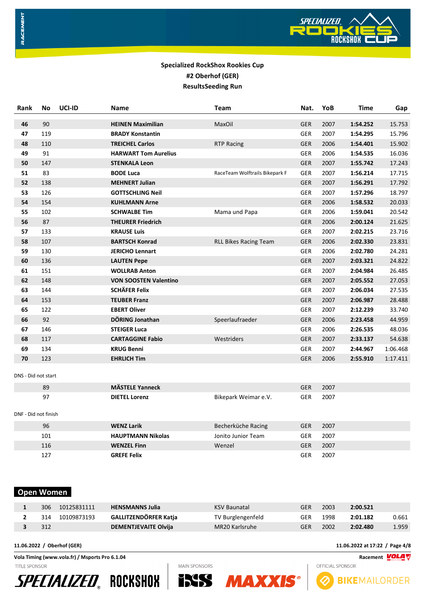

| Rank                 | No  | UCI-ID | Name                         | Team                           | Nat.       | YoB  | Time     | Gap      |
|----------------------|-----|--------|------------------------------|--------------------------------|------------|------|----------|----------|
| 46                   | 90  |        | <b>HEINEN Maximilian</b>     | MaxOil                         | <b>GER</b> | 2007 | 1:54.252 | 15.753   |
| 47                   | 119 |        | <b>BRADY Konstantin</b>      |                                | <b>GER</b> | 2007 | 1:54.295 | 15.796   |
| 48                   | 110 |        | <b>TREICHEL Carlos</b>       | <b>RTP Racing</b>              | <b>GER</b> | 2006 | 1:54.401 | 15.902   |
| 49                   | 91  |        | <b>HARWART Tom Aurelius</b>  |                                | <b>GER</b> | 2006 | 1:54.535 | 16.036   |
| 50                   | 147 |        | <b>STENKALA Leon</b>         |                                | <b>GER</b> | 2007 | 1:55.742 | 17.243   |
| 51                   | 83  |        | <b>BODE Luca</b>             | RaceTeam Wolftrails Bikepark F | <b>GER</b> | 2007 | 1:56.214 | 17.715   |
| 52                   | 138 |        | <b>MEHNERT Julian</b>        |                                | <b>GER</b> | 2007 | 1:56.291 | 17.792   |
| 53                   | 126 |        | <b>GOTTSCHLING Neil</b>      |                                | <b>GER</b> | 2007 | 1:57.296 | 18.797   |
| 54                   | 154 |        | <b>KUHLMANN Arne</b>         |                                | <b>GER</b> | 2006 | 1:58.532 | 20.033   |
| 55                   | 102 |        | <b>SCHWALBE Tim</b>          | Mama und Papa                  | <b>GER</b> | 2006 | 1:59.041 | 20.542   |
| 56                   | 87  |        | <b>THEURER Friedrich</b>     |                                | <b>GER</b> | 2006 | 2:00.124 | 21.625   |
| 57                   | 133 |        | <b>KRAUSE Luis</b>           |                                | <b>GER</b> | 2007 | 2:02.215 | 23.716   |
| 58                   | 107 |        | <b>BARTSCH Konrad</b>        | <b>RLL Bikes Racing Team</b>   | <b>GER</b> | 2006 | 2:02.330 | 23.831   |
| 59                   | 130 |        | <b>JERICHO Lennart</b>       |                                | <b>GER</b> | 2006 | 2:02.780 | 24.281   |
| 60                   | 136 |        | <b>LAUTEN Pepe</b>           |                                | <b>GER</b> | 2007 | 2:03.321 | 24.822   |
| 61                   | 151 |        | <b>WOLLRAB Anton</b>         |                                | <b>GER</b> | 2007 | 2:04.984 | 26.485   |
| 62                   | 148 |        | <b>VON SOOSTEN Valentino</b> |                                | <b>GER</b> | 2007 | 2:05.552 | 27.053   |
| 63                   | 144 |        | <b>SCHÄFER Felix</b>         |                                | <b>GER</b> | 2007 | 2:06.034 | 27.535   |
| 64                   | 153 |        | <b>TEUBER Franz</b>          |                                | <b>GER</b> | 2007 | 2:06.987 | 28.488   |
| 65                   | 122 |        | <b>EBERT Oliver</b>          |                                | <b>GER</b> | 2007 | 2:12.239 | 33.740   |
| 66                   | 92  |        | DÖRING Jonathan              | Speerlaufraeder                | <b>GER</b> | 2006 | 2:23.458 | 44.959   |
| 67                   | 146 |        | <b>STEIGER Luca</b>          |                                | <b>GER</b> | 2006 | 2:26.535 | 48.036   |
| 68                   | 117 |        | <b>CARTAGGINE Fabio</b>      | Westriders                     | <b>GER</b> | 2007 | 2:33.137 | 54.638   |
| 69                   | 134 |        | <b>KRUG Benni</b>            |                                | <b>GER</b> | 2007 | 2:44.967 | 1:06.468 |
| 70                   | 123 |        | <b>EHRLICH Tim</b>           |                                | <b>GER</b> | 2006 | 2:55.910 | 1:17.411 |
| DNS - Did not start  |     |        |                              |                                |            |      |          |          |
|                      | 89  |        | <b>MÄSTELE Yanneck</b>       |                                | <b>GER</b> | 2007 |          |          |
|                      | 97  |        | <b>DIETEL Lorenz</b>         | Bikepark Weimar e.V.           | <b>GER</b> | 2007 |          |          |
| DNF - Did not finish |     |        |                              |                                |            |      |          |          |
|                      | 96  |        | <b>WENZ Larik</b>            | Becherküche Racing             | <b>GER</b> | 2007 |          |          |
|                      | 101 |        | <b>HAUPTMANN Nikolas</b>     | Jonito Junior Team             | <b>GER</b> | 2007 |          |          |
|                      | 116 |        | <b>WENZEL Finn</b>           | Wenzel                         | <b>GER</b> | 2007 |          |          |
|                      | 127 |        | <b>GREFE Felix</b>           |                                | <b>GER</b> | 2007 |          |          |

# **Open Women**

RACEMENT

| 306<br>10125831111 | <b>HENSMANNS Julia</b>      | <b>KSV Baunatal</b> | GER | 2003 | 2:00.521 |       |
|--------------------|-----------------------------|---------------------|-----|------|----------|-------|
| 10109873193<br>314 | GALLITZENDÖRFER Katja       | TV Burglengenfeld   | GER | 1998 | 2:01.182 | 0.661 |
| 312                | <b>DEMENTJEVAITE Olvija</b> | MR20 Karlsruhe      | GER | 2002 | 2:02.480 | 1.959 |

**MAIN SPONSORS** 

**Vola Timing (www.vola.fr) / Msports Pro 6.1.04 Racement**

TITLE SPONSOR







**11.06.2022 / Oberhof (GER) 11.06.2022 at 17:22 / Page 4/8**

**BIKEMAILORDER**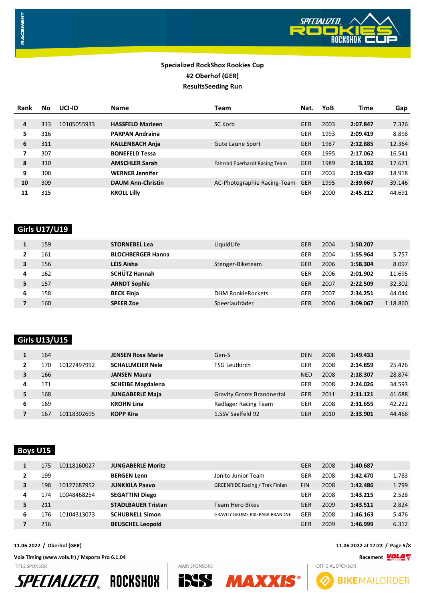

| <b>Rank</b> | No  | UCI-ID      | <b>Name</b>              | Team                          | Nat.       | YoB  | Time     | Gap    |
|-------------|-----|-------------|--------------------------|-------------------------------|------------|------|----------|--------|
|             |     |             |                          |                               |            |      |          |        |
| 4           | 313 | 10105055933 | <b>HASSFELD Marleen</b>  | SC Korb                       | <b>GER</b> | 2003 | 2:07.847 | 7.326  |
| 5           | 316 |             | <b>PARPAN Andraina</b>   |                               | <b>GER</b> | 1993 | 2:09.419 | 8.898  |
| 6           | 311 |             | <b>KALLENBACH Anja</b>   | <b>Gute Laune Sport</b>       | <b>GER</b> | 1987 | 2:12.885 | 12.364 |
| 7           | 307 |             | <b>BONEFELD Tessa</b>    |                               | <b>GER</b> | 1995 | 2:17.062 | 16.541 |
| 8           | 310 |             | <b>AMSCHLER Sarah</b>    | Fahrrad Eberhardt Racing Team | <b>GER</b> | 1989 | 2:18.192 | 17.671 |
| 9           | 308 |             | <b>WERNER Jennifer</b>   |                               | <b>GER</b> | 2003 | 2:19.439 | 18.918 |
| 10          | 309 |             | <b>DAUM Ann-Christin</b> | AC-Photographie Racing-Team   | <b>GER</b> | 1995 | 2:39.667 | 39.146 |
| 11          | 315 |             | <b>KROLL Lilly</b>       |                               | GER        | 2000 | 2:45.212 | 44.691 |

# **Girls U17/U19**

RACEMENT

|   | 159 | <b>STORNEBEL Lea</b>     | LiquidLife               | <b>GER</b> | 2004 | 1:50.207 |          |
|---|-----|--------------------------|--------------------------|------------|------|----------|----------|
|   | 161 | <b>BLOCHBERGER Hanna</b> |                          | <b>GER</b> | 2004 | 1:55.964 | 5.757    |
|   | 156 | <b>LEIS Aisha</b>        | Stenger-Biketeam         | <b>GER</b> | 2006 | 1:58.304 | 8.097    |
| 4 | 162 | <b>SCHÜTZ Hannah</b>     |                          | <b>GER</b> | 2006 | 2:01.902 | 11.695   |
|   | 157 | <b>ARNDT Sophie</b>      |                          | <b>GER</b> | 2007 | 2:22.509 | 32.302   |
| 6 | 158 | <b>BECK Finja</b>        | <b>DHM RookieRockets</b> | <b>GER</b> | 2007 | 2:34.251 | 44.044   |
|   | 160 | <b>SPEER Zoe</b>         | Speerlaufräder           | <b>GER</b> | 2006 | 3:09.067 | 1:18.860 |

# **Girls U13/U15**

|   | 164                | <b>JENSEN Rosa Marie</b> | Gen-S                            | <b>DEN</b> | 2008 | 1:49.433 |        |
|---|--------------------|--------------------------|----------------------------------|------------|------|----------|--------|
|   | 10127497992<br>170 | <b>SCHALLMEIER Nele</b>  | <b>TSG Leutkirch</b>             | <b>GER</b> | 2008 | 2:14.859 | 25.426 |
|   | 166                | <b>JANSEN Maura</b>      |                                  | <b>NED</b> | 2008 | 2:18.307 | 28.874 |
| 4 | 171                | <b>SCHEIBE Magdalena</b> |                                  | <b>GER</b> | 2008 | 2:24.026 | 34.593 |
|   | 168                | <b>JUNGABERLE Maja</b>   | <b>Gravity Groms Brandnertal</b> | <b>GER</b> | 2011 | 2:31.121 | 41.688 |
| 6 | 169                | <b>KROHN Lina</b>        | Radlager Racing Team             | <b>GER</b> | 2008 | 2:31.655 | 42.222 |
|   | 167<br>10118302695 | <b>KOPP Kira</b>         | 1.SSV Saalfeld 92                | GER        | 2010 | 2:33.901 | 44.468 |

# **Boys U15**

|   | 175 | 10118160027 | <b>JUNGABERLE Moritz</b>  |                                       | <b>GER</b> | 2008 | 1:40.687 |       |
|---|-----|-------------|---------------------------|---------------------------------------|------------|------|----------|-------|
|   | 199 |             | <b>BERGEN Lenn</b>        | Jonito Junior Team                    | <b>GER</b> | 2008 | 1:42.470 | 1.783 |
| 3 | 198 | 10127687952 | <b>JUNKKILA Paavo</b>     | <b>GREENRIDE Racing / Trek Finlan</b> | <b>FIN</b> | 2008 | 1:42.486 | 1.799 |
| 4 | 174 | 10048468254 | <b>SEGATTINI Diego</b>    |                                       | GER        | 2008 | 1:43.215 | 2.528 |
| 5 | 211 |             | <b>STADLBAUER Tristan</b> | <b>Team Hero Bikes</b>                | <b>GER</b> | 2009 | 1:43.511 | 2.824 |
| 6 | 176 | 10104313073 | <b>SCHUBNELL Simon</b>    | <b>GRAVITY GROMS BIKEPARK BRANDNE</b> | <b>GER</b> | 2008 | 1:46.163 | 5.476 |
|   | 216 |             | <b>BEUSCHEL Leopold</b>   |                                       | <b>GER</b> | 2009 | 1:46.999 | 6.312 |

**Vola Timing (www.vola.fr) / Msports Pro 6.1.04 Racement VOLAT** TITLE SPONSOR







**MAIN SPONSORS** 



**11.06.2022 / Oberhof (GER) 11.06.2022 at 17:22 / Page 5/8**

OFFICIAL SPONSOR

**BIKEMAILORDER**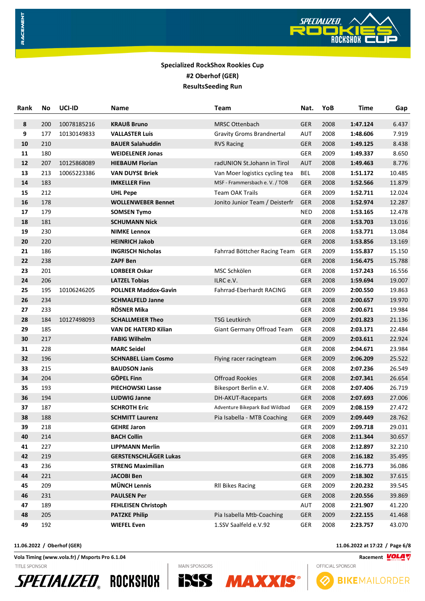

| Rank | <b>No</b> | UCI-ID      | Name                         | Team                             | Nat.       | YoB  | Time     | Gap    |
|------|-----------|-------------|------------------------------|----------------------------------|------------|------|----------|--------|
| 8    | 200       | 10078185216 | <b>KRAUß Bruno</b>           | <b>MRSC Ottenbach</b>            | <b>GER</b> | 2008 | 1:47.124 | 6.437  |
| 9    | 177       | 10130149833 | <b>VALLASTER Luis</b>        | <b>Gravity Groms Brandnertal</b> | AUT        | 2008 | 1:48.606 | 7.919  |
| 10   | 210       |             | <b>BAUER Salahuddin</b>      | <b>RVS Racing</b>                | <b>GER</b> | 2008 | 1:49.125 | 8.438  |
| 11   | 180       |             | <b>WEIDELENER Jonas</b>      |                                  | <b>GER</b> | 2009 | 1:49.337 | 8.650  |
| 12   | 207       | 10125868089 | <b>HIEBAUM Florian</b>       | radUNION St.Johann in Tirol      | <b>AUT</b> | 2008 | 1:49.463 | 8.776  |
| 13   | 213       | 10065223386 | <b>VAN DUYSE Briek</b>       | Van Moer logistics cycling tea   | BEL        | 2008 | 1:51.172 | 10.485 |
| 14   | 183       |             | <b>IMKELLER Finn</b>         | MSF - Frammersbach e.V. / TOB    | <b>GER</b> | 2008 | 1:52.566 | 11.879 |
| 15   | 212       |             | <b>UHL Pepe</b>              | <b>Team OAK Trails</b>           | <b>GER</b> | 2009 | 1:52.711 | 12.024 |
| 16   | 178       |             | <b>WOLLENWEBER Bennet</b>    | Jonito Junior Team / Deisterfr   | <b>GER</b> | 2008 | 1:52.974 | 12.287 |
| 17   | 179       |             | <b>SOMSEN Tymo</b>           |                                  | <b>NED</b> | 2008 | 1:53.165 | 12.478 |
| 18   | 181       |             | <b>SCHUMANN Nick</b>         |                                  | <b>GER</b> | 2008 | 1:53.703 | 13.016 |
| 19   | 230       |             | <b>NIMKE Lennox</b>          |                                  | <b>GER</b> | 2008 | 1:53.771 | 13.084 |
| 20   | 220       |             | <b>HEINRICH Jakob</b>        |                                  | <b>GER</b> | 2008 | 1:53.856 | 13.169 |
| 21   | 186       |             | <b>INGRISCH Nicholas</b>     | Fahrrad Böttcher Racing Team     | <b>GER</b> | 2009 | 1:55.837 | 15.150 |
| 22   | 238       |             | <b>ZAPF Ben</b>              |                                  | <b>GER</b> | 2008 | 1:56.475 | 15.788 |
| 23   | 201       |             | <b>LORBEER Oskar</b>         | MSC Schkölen                     | <b>GER</b> | 2008 | 1:57.243 | 16.556 |
| 24   | 206       |             | <b>LATZEL Tobias</b>         | ILRC e.V.                        | <b>GER</b> | 2008 | 1:59.694 | 19.007 |
| 25   | 195       | 10106246205 | <b>POLLNER Maddox-Gavin</b>  | Fahrrad-Eberhardt RACING         | <b>GER</b> | 2009 | 2:00.550 | 19.863 |
| 26   | 234       |             | <b>SCHMALFELD Janne</b>      |                                  | <b>GER</b> | 2008 | 2:00.657 | 19.970 |
| 27   | 233       |             | RÖSNER Mika                  |                                  | GER        | 2008 | 2:00.671 | 19.984 |
| 28   | 184       | 10127498093 | <b>SCHALLMEIER Theo</b>      | <b>TSG Leutkirch</b>             | <b>GER</b> | 2009 | 2:01.823 | 21.136 |
| 29   | 185       |             | <b>VAN DE HATERD Kilian</b>  | Giant Germany Offroad Team       | <b>GER</b> | 2008 | 2:03.171 | 22.484 |
| 30   | 217       |             | <b>FABIG Wilhelm</b>         |                                  | <b>GER</b> | 2009 | 2:03.611 | 22.924 |
| 31   | 228       |             | <b>MARC Seidel</b>           |                                  | GER        | 2008 | 2:04.671 | 23.984 |
| 32   | 196       |             | <b>SCHNABEL Liam Cosmo</b>   | Flying racer racingteam          | <b>GER</b> | 2009 | 2:06.209 | 25.522 |
| 33   | 215       |             | <b>BAUDSON Janis</b>         |                                  | <b>GER</b> | 2008 | 2:07.236 | 26.549 |
| 34   | 204       |             | <b>GÖPEL Finn</b>            | <b>Offroad Rookies</b>           | <b>GER</b> | 2008 | 2:07.341 | 26.654 |
| 35   | 193       |             | <b>PIECHOWSKI Lasse</b>      | Bikesport Berlin e.V.            | GER        | 2008 | 2:07.406 | 26.719 |
| 36   | 194       |             | <b>LUDWIG Janne</b>          | DH-AKUT-Raceparts                | <b>GER</b> | 2008 | 2:07.693 | 27.006 |
| 37   | 187       |             | <b>SCHROTH Eric</b>          | Adventure Bikepark Bad Wildbad   | <b>GER</b> | 2009 | 2:08.159 | 27.472 |
| 38   | 188       |             | <b>SCHMITT Laurenz</b>       | Pia Isabella - MTB Coaching      | <b>GER</b> | 2009 | 2:09.449 | 28.762 |
| 39   | 218       |             | <b>GEHRE Jaron</b>           |                                  | GER        | 2009 | 2:09.718 | 29.031 |
| 40   | 214       |             | <b>BACH Collin</b>           |                                  | <b>GER</b> | 2008 | 2:11.344 | 30.657 |
| 41   | 227       |             | <b>LIPPMANN Merlin</b>       |                                  | GER        | 2008 | 2:12.897 | 32.210 |
| 42   | 219       |             | <b>GERSTENSCHLÄGER Lukas</b> |                                  | <b>GER</b> | 2008 | 2:16.182 | 35.495 |
| 43   | 236       |             | <b>STRENG Maximilian</b>     |                                  | <b>GER</b> | 2008 | 2:16.773 | 36.086 |
| 44   | 221       |             | <b>JACOBI Ben</b>            |                                  | <b>GER</b> | 2009 | 2:18.302 | 37.615 |
| 45   | 209       |             | <b>MÜNCH Lennis</b>          | <b>RII Bikes Racing</b>          | <b>GER</b> | 2009 | 2:20.232 | 39.545 |
| 46   | 231       |             | <b>PAULSEN Per</b>           |                                  | <b>GER</b> | 2008 | 2:20.556 | 39.869 |
| 47   | 189       |             | <b>FEHLEISEN Christoph</b>   |                                  | AUT        | 2008 | 2:21.907 | 41.220 |
| 48   | 205       |             | <b>PATZKE Philip</b>         | Pia Isabella Mtb-Coaching        | <b>GER</b> | 2009 | 2:22.155 | 41.468 |
| 49   | 192       |             | <b>WIEFEL Even</b>           | 1.SSV Saalfeld e.V.92            | GER        | 2008 | 2:23.757 | 43.070 |

RACEMENT

**Vola Timing (www.vola.fr) / Msports Pro 6.1.04 Racement** TITLE SPONSOR









**11.06.2022 / Oberhof (GER) 11.06.2022 at 17:22 / Page 6/8**

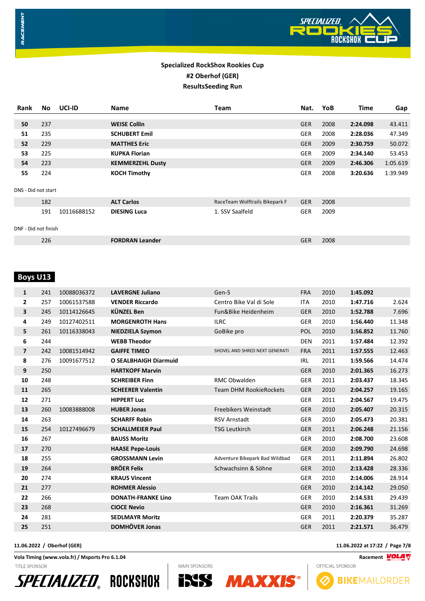

# RACEMENT

## **Specialized RockShox Rookies Cup #2 Oberhof (GER) ResultsSeeding Run**

| Rank                 | No. | UCI-ID      | <b>Name</b>             | Team                           | Nat.       | YoB  | <b>Time</b> | Gap      |
|----------------------|-----|-------------|-------------------------|--------------------------------|------------|------|-------------|----------|
|                      |     |             |                         |                                |            |      |             |          |
| 50                   | 237 |             | <b>WEISE Collin</b>     |                                | <b>GER</b> | 2008 | 2:24.098    | 43.411   |
| 51                   | 235 |             | <b>SCHUBERT Emil</b>    |                                | <b>GER</b> | 2008 | 2:28.036    | 47.349   |
| 52                   | 229 |             | <b>MATTHES Eric</b>     |                                | <b>GER</b> | 2009 | 2:30.759    | 50.072   |
| 53                   | 225 |             | <b>KUPKA Florian</b>    |                                | <b>GER</b> | 2009 | 2:34.140    | 53.453   |
| 54                   | 223 |             | <b>KEMMERZEHL Dusty</b> |                                | <b>GER</b> | 2009 | 2:46.306    | 1:05.619 |
| 55                   | 224 |             | <b>KOCH Timothy</b>     |                                | <b>GER</b> | 2008 | 3:20.636    | 1:39.949 |
|                      |     |             |                         |                                |            |      |             |          |
| DNS - Did not start  |     |             |                         |                                |            |      |             |          |
|                      | 182 |             | <b>ALT Carlos</b>       | RaceTeam Wolftrails Bikepark F | <b>GER</b> | 2008 |             |          |
|                      | 191 | 10116688152 | <b>DIESING Luca</b>     | 1. SSV Saalfeld                | <b>GER</b> | 2009 |             |          |
|                      |     |             |                         |                                |            |      |             |          |
| DNF - Did not finish |     |             |                         |                                |            |      |             |          |
|                      | 226 |             | <b>FORDRAN Leander</b>  |                                | <b>GER</b> | 2008 |             |          |
|                      |     |             |                         |                                |            |      |             |          |

# **Boys U13**

| $\mathbf{1}$   | 241 | 10088036372 | <b>LAVERGNE Juliano</b>      | Gen-S                          | <b>FRA</b> | 2010 | 1:45.092 |        |
|----------------|-----|-------------|------------------------------|--------------------------------|------------|------|----------|--------|
| $\overline{2}$ | 257 | 10061537588 | <b>VENDER Riccardo</b>       | Centro Bike Val di Sole        | <b>ITA</b> | 2010 | 1:47.716 | 2.624  |
| 3              | 245 | 10114126645 | KÜNZEL Ben                   | Fun&Bike Heidenheim            | <b>GER</b> | 2010 | 1:52.788 | 7.696  |
| 4              | 249 | 10127402511 | <b>MORGENROTH Hans</b>       | <b>ILRC</b>                    | <b>GER</b> | 2010 | 1:56.440 | 11.348 |
| 5              | 261 | 10116338043 | <b>NIEDZIELA Szymon</b>      | GoBike pro                     | <b>POL</b> | 2010 | 1:56.852 | 11.760 |
| 6              | 244 |             | <b>WEBB Theodor</b>          |                                | <b>DEN</b> | 2011 | 1:57.484 | 12.392 |
| $\overline{7}$ | 242 | 10081514942 | <b>GAIFFE TIMEO</b>          | SHOVEL AND SHRED NEXT GENERATI | <b>FRA</b> | 2011 | 1:57.555 | 12.463 |
| 8              | 276 | 10091677512 | <b>O SEALBHAIGH Diarmuid</b> |                                | IRL        | 2011 | 1:59.566 | 14.474 |
| 9              | 250 |             | <b>HARTKOPF Marvin</b>       |                                | <b>GER</b> | 2010 | 2:01.365 | 16.273 |
| 10             | 248 |             | <b>SCHREIBER Finn</b>        | RMC Obwalden                   | <b>GER</b> | 2011 | 2:03.437 | 18.345 |
| 11             | 265 |             | <b>SCHEERER Valentin</b>     | <b>Team DHM RookieRockets</b>  | <b>GER</b> | 2010 | 2:04.257 | 19.165 |
| 12             | 271 |             | <b>HIPPERT Luc</b>           |                                | <b>GER</b> | 2011 | 2:04.567 | 19.475 |
| 13             | 260 | 10083888008 | <b>HUBER Jonas</b>           | Freebikers Weinstadt           | <b>GER</b> | 2010 | 2:05.407 | 20.315 |
| 14             | 263 |             | <b>SCHARFF Robin</b>         | <b>RSV Arnstadt</b>            | <b>GER</b> | 2010 | 2:05.473 | 20.381 |
| 15             | 254 | 10127496679 | <b>SCHALLMEIER Paul</b>      | <b>TSG Leutkirch</b>           | <b>GER</b> | 2011 | 2:06.248 | 21.156 |
| 16             | 267 |             | <b>BAUSS Moritz</b>          |                                | <b>GER</b> | 2010 | 2:08.700 | 23.608 |
| 17             | 270 |             | <b>HAASE Pepe-Louis</b>      |                                | <b>GER</b> | 2010 | 2:09.790 | 24.698 |
| 18             | 255 |             | <b>GROSSMANN Levin</b>       | Adventure Bikepark Bad Wildbad | <b>GER</b> | 2011 | 2:11.894 | 26.802 |
| 19             | 264 |             | <b>BRÖER Felix</b>           | Schwachsinn & Söhne            | <b>GER</b> | 2010 | 2:13.428 | 28.336 |
| 20             | 274 |             | <b>KRAUS Vincent</b>         |                                | <b>GER</b> | 2010 | 2:14.006 | 28.914 |
| 21             | 277 |             | <b>ROHMER Alessio</b>        |                                | <b>GER</b> | 2010 | 2:14.142 | 29.050 |
| 22             | 266 |             | <b>DONATH-FRANKE Lino</b>    | <b>Team OAK Trails</b>         | <b>GER</b> | 2010 | 2:14.531 | 29.439 |
| 23             | 268 |             | <b>CIOCE Nevio</b>           |                                | <b>GER</b> | 2010 | 2:16.361 | 31.269 |
| 24             | 281 |             | <b>SEDLMAYR Moritz</b>       |                                | <b>GER</b> | 2011 | 2:20.379 | 35.287 |
| 25             | 251 |             | <b>DOMHÖVER Jonas</b>        |                                | <b>GER</b> | 2011 | 2:21.571 | 36.479 |

**Vola Timing (www.vola.fr) / Msports Pro 6.1.04 Racement** TITLE SPONSOR





**MAIN SPONSORS** 



**11.06.2022 / Oberhof (GER) 11.06.2022 at 17:22 / Page 7/8**

**BIKEMAILORDER**